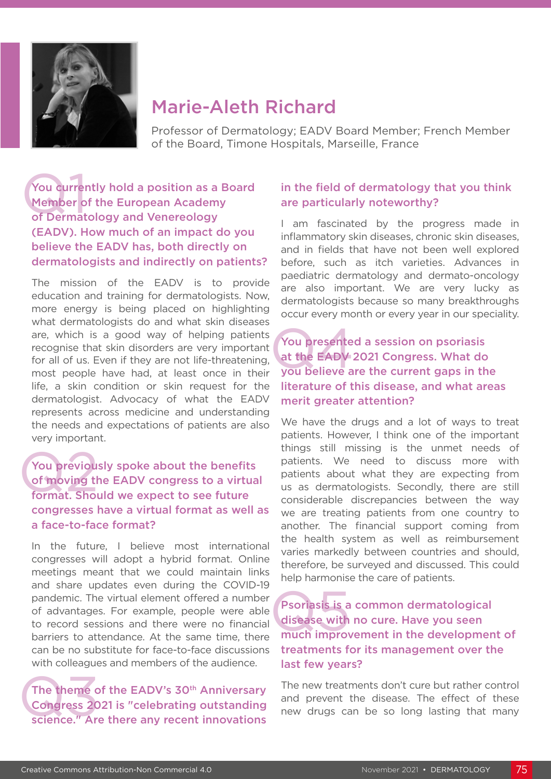

## Marie-Aleth Richard

Professor of Dermatology; EADV Board Member; French Member of the Board, Timone Hospitals, Marseille, France

You currently hold a position as a Board Member of the European Academy of Dermatology and Venereology (EADV). How much of an impact do you believe the EADV has, both directly on dermatologists and indirectly on patients? You currer<br>Member o<br>of Dermat

The mission of the EADV is to provide education and training for dermatologists. Now, more energy is being placed on highlighting what dermatologists do and what skin diseases are, which is a good way of helping patients recognise that skin disorders are very important for all of us. Even if they are not life-threatening, most people have had, at least once in their life, a skin condition or skin request for the dermatologist. Advocacy of what the EADV represents across medicine and understanding the needs and expectations of patients are also very important.

### You previously spoke about the benefits of moving the EADV congress to a virtual format. Should we expect to see future congresses have a virtual format as well as a face-to-face format? You previou<br>of moving the<br>format. Shou

In the future, I believe most international congresses will adopt a hybrid format. Online meetings meant that we could maintain links and share updates even during the COVID-19 pandemic. The virtual element offered a number of advantages. For example, people were able to record sessions and there were no financial barriers to attendance. At the same time, there can be no substitute for face-to-face discussions with colleagues and members of the audience.

The theme of the EADV's 30<sup>th</sup> Anniversary Congress 2021 is "celebrating outstanding science." Are there any recent innovations The theme congress 20

#### in the field of dermatology that you think are particularly noteworthy?

I am fascinated by the progress made in inflammatory skin diseases, chronic skin diseases, and in fields that have not been well explored before, such as itch varieties. Advances in paediatric dermatology and dermato-oncology are also important. We are very lucky as dermatologists because so many breakthroughs occur every month or every year in our speciality.

You presented a session on psoriasis at the EADV 2021 Congress. What do you believe are the current gaps in the literature of this disease, and what areas merit greater attention? You presente<br>at the EADY

We have the drugs and a lot of ways to treat patients. However, I think one of the important things still missing is the unmet needs of patients. We need to discuss more with patients about what they are expecting from us as dermatologists. Secondly, there are still considerable discrepancies between the way we are treating patients from one country to another. The financial support coming from the health system as well as reimbursement varies markedly between countries and should, therefore, be surveyed and discussed. This could help harmonise the care of patients.

Psoriasis is a common dermatological disease with no cure. Have you seen much improvement in the development of treatments for its management over the last few years? Psoriasis is a<br>disease with<br>much improv

The new treatments don't cure but rather control and prevent the disease. The effect of these new drugs can be so long lasting that many